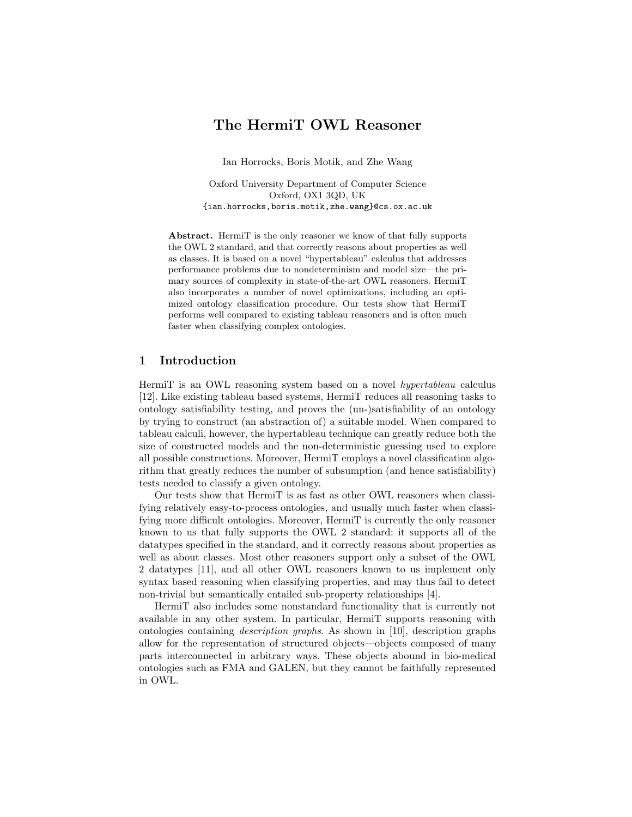# The HermiT OWL Reasoner

Ian Horrocks, Boris Motik, and Zhe Wang

Oxford University Department of Computer Science Oxford, OX1 3QD, UK {ian.horrocks,boris.motik,zhe.wang}@cs.ox.ac.uk

Abstract. HermiT is the only reasoner we know of that fully supports the OWL 2 standard, and that correctly reasons about properties as well as classes. It is based on a novel "hypertableau" calculus that addresses performance problems due to nondeterminism and model size—the primary sources of complexity in state-of-the-art OWL reasoners. HermiT also incorporates a number of novel optimizations, including an optimized ontology classification procedure. Our tests show that HermiT performs well compared to existing tableau reasoners and is often much faster when classifying complex ontologies.

## 1 Introduction

HermiT is an OWL reasoning system based on a novel hypertableau calculus [12]. Like existing tableau based systems, HermiT reduces all reasoning tasks to ontology satisfiability testing, and proves the (un-)satisfiability of an ontology by trying to construct (an abstraction of) a suitable model. When compared to tableau calculi, however, the hypertableau technique can greatly reduce both the size of constructed models and the non-deterministic guessing used to explore all possible constructions. Moreover, HermiT employs a novel classification algorithm that greatly reduces the number of subsumption (and hence satisfiability) tests needed to classify a given ontology.

Our tests show that HermiT is as fast as other OWL reasoners when classifying relatively easy-to-process ontologies, and usually much faster when classifying more difficult ontologies. Moreover, HermiT is currently the only reasoner known to us that fully supports the OWL 2 standard: it supports all of the datatypes specified in the standard, and it correctly reasons about properties as well as about classes. Most other reasoners support only a subset of the OWL 2 datatypes [11], and all other OWL reasoners known to us implement only syntax based reasoning when classifying properties, and may thus fail to detect non-trivial but semantically entailed sub-property relationships [4].

HermiT also includes some nonstandard functionality that is currently not available in any other system. In particular, HermiT supports reasoning with ontologies containing description graphs. As shown in [10], description graphs allow for the representation of structured objects—objects composed of many parts interconnected in arbitrary ways. These objects abound in bio-medical ontologies such as FMA and GALEN, but they cannot be faithfully represented in OWL.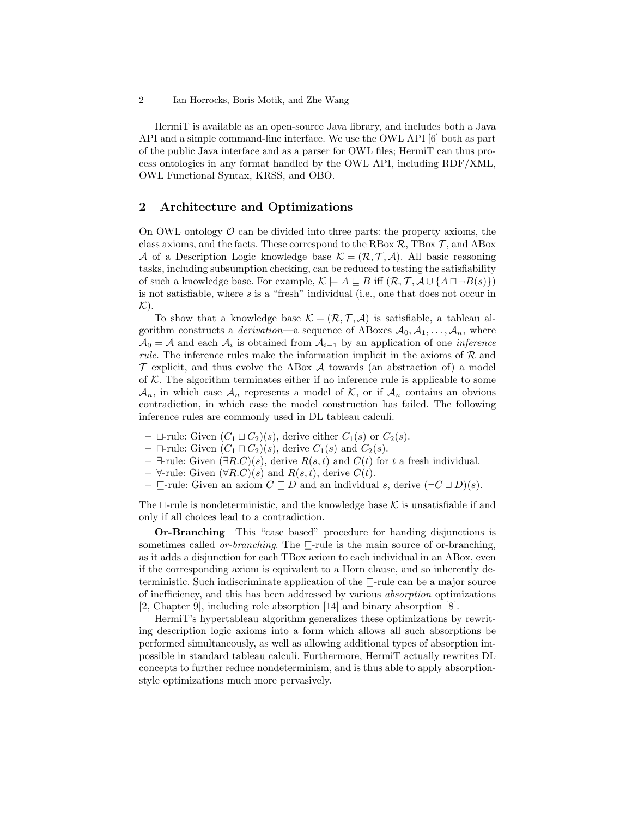HermiT is available as an open-source Java library, and includes both a Java API and a simple command-line interface. We use the OWL API [6] both as part of the public Java interface and as a parser for OWL files; HermiT can thus process ontologies in any format handled by the OWL API, including RDF/XML, OWL Functional Syntax, KRSS, and OBO.

## 2 Architecture and Optimizations

On OWL ontology  $\mathcal O$  can be divided into three parts: the property axioms, the class axioms, and the facts. These correspond to the RBox  $\mathcal{R}$ , TBox  $\mathcal{T}$ , and ABox A of a Description Logic knowledge base  $\mathcal{K} = (\mathcal{R}, \mathcal{T}, \mathcal{A})$ . All basic reasoning tasks, including subsumption checking, can be reduced to testing the satisfiability of such a knowledge base. For example,  $\mathcal{K} \models A \sqsubseteq B$  iff  $(\mathcal{R}, \mathcal{T}, \mathcal{A} \cup \{A \sqcap \neg B(s)\})$ is not satisfiable, where s is a "fresh" individual (i.e., one that does not occur in  $\mathcal{K}$ ).

To show that a knowledge base  $\mathcal{K} = (\mathcal{R}, \mathcal{T}, \mathcal{A})$  is satisfiable, a tableau algorithm constructs a *derivation*—a sequence of ABoxes  $A_0, A_1, \ldots, A_n$ , where  $A_0 = A$  and each  $A_i$  is obtained from  $A_{i-1}$  by an application of one *inference rule.* The inference rules make the information implicit in the axioms of  $R$  and  $\mathcal T$  explicit, and thus evolve the ABox  $\mathcal A$  towards (an abstraction of) a model of  $K$ . The algorithm terminates either if no inference rule is applicable to some  $\mathcal{A}_n$ , in which case  $\mathcal{A}_n$  represents a model of K, or if  $\mathcal{A}_n$  contains an obvious contradiction, in which case the model construction has failed. The following inference rules are commonly used in DL tableau calculi.

- $\sqcup$ -rule: Given  $(C_1 \sqcup C_2)(s)$ , derive either  $C_1(s)$  or  $C_2(s)$ .
- $\Box$ -rule: Given  $(C_1 \Box C_2)(s)$ , derive  $C_1(s)$  and  $C_2(s)$ .
- ∃-rule: Given  $(∃R.C)(s)$ , derive  $R(s,t)$  and  $C(t)$  for t a fresh individual.
- $-$  ∀-rule: Given  $(\forall R.C)(s)$  and  $R(s,t)$ , derive  $C(t)$ .
- $\sqsubseteq$ -rule: Given an axiom  $C \sqsubseteq D$  and an individual s, derive  $(\neg C \sqcup D)(s)$ .

The  $\sqcup$ -rule is nondeterministic, and the knowledge base K is unsatisfiable if and only if all choices lead to a contradiction.

Or-Branching This "case based" procedure for handing disjunctions is sometimes called *or-branching*. The  $\sqsubseteq$ -rule is the main source of or-branching, as it adds a disjunction for each TBox axiom to each individual in an ABox, even if the corresponding axiom is equivalent to a Horn clause, and so inherently deterministic. Such indiscriminate application of the  $\sqsubseteq$ -rule can be a major source of inefficiency, and this has been addressed by various absorption optimizations [2, Chapter 9], including role absorption [14] and binary absorption [8].

HermiT's hypertableau algorithm generalizes these optimizations by rewriting description logic axioms into a form which allows all such absorptions be performed simultaneously, as well as allowing additional types of absorption impossible in standard tableau calculi. Furthermore, HermiT actually rewrites DL concepts to further reduce nondeterminism, and is thus able to apply absorptionstyle optimizations much more pervasively.

<sup>2</sup> Ian Horrocks, Boris Motik, and Zhe Wang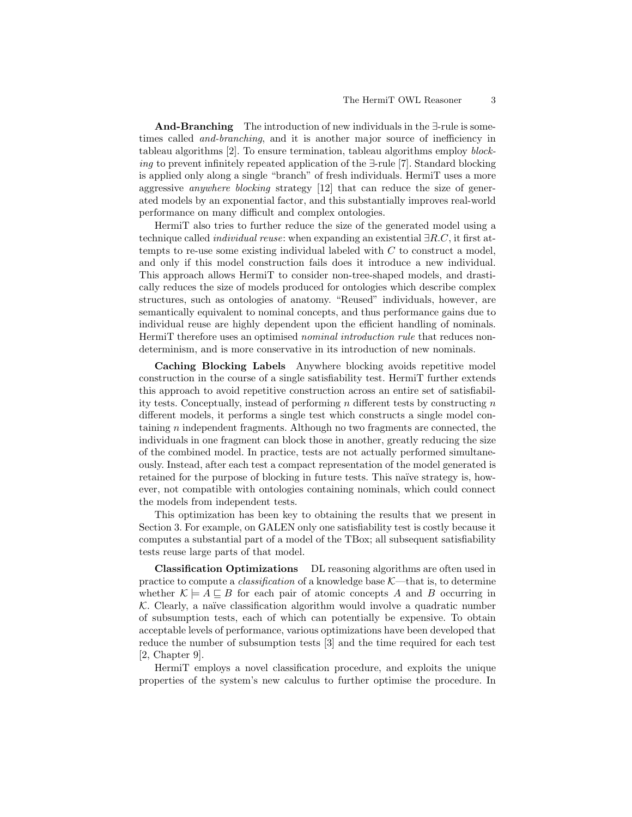And-Branching The introduction of new individuals in the ∃-rule is sometimes called and-branching, and it is another major source of inefficiency in tableau algorithms [2]. To ensure termination, tableau algorithms employ blocking to prevent infinitely repeated application of the ∃-rule [7]. Standard blocking is applied only along a single "branch" of fresh individuals. HermiT uses a more aggressive anywhere blocking strategy [12] that can reduce the size of generated models by an exponential factor, and this substantially improves real-world performance on many difficult and complex ontologies.

HermiT also tries to further reduce the size of the generated model using a technique called individual reuse: when expanding an existential ∃R.C, it first attempts to re-use some existing individual labeled with  $C$  to construct a model, and only if this model construction fails does it introduce a new individual. This approach allows HermiT to consider non-tree-shaped models, and drastically reduces the size of models produced for ontologies which describe complex structures, such as ontologies of anatomy. "Reused" individuals, however, are semantically equivalent to nominal concepts, and thus performance gains due to individual reuse are highly dependent upon the efficient handling of nominals. HermiT therefore uses an optimised *nominal introduction rule* that reduces nondeterminism, and is more conservative in its introduction of new nominals.

Caching Blocking Labels Anywhere blocking avoids repetitive model construction in the course of a single satisfiability test. HermiT further extends this approach to avoid repetitive construction across an entire set of satisfiability tests. Conceptually, instead of performing  $n$  different tests by constructing  $n$ different models, it performs a single test which constructs a single model containing n independent fragments. Although no two fragments are connected, the individuals in one fragment can block those in another, greatly reducing the size of the combined model. In practice, tests are not actually performed simultaneously. Instead, after each test a compact representation of the model generated is retained for the purpose of blocking in future tests. This naïve strategy is, however, not compatible with ontologies containing nominals, which could connect the models from independent tests.

This optimization has been key to obtaining the results that we present in Section 3. For example, on GALEN only one satisfiability test is costly because it computes a substantial part of a model of the TBox; all subsequent satisfiability tests reuse large parts of that model.

Classification Optimizations DL reasoning algorithms are often used in practice to compute a *classification* of a knowledge base  $K$ —that is, to determine whether  $\mathcal{K} \models A \sqsubseteq B$  for each pair of atomic concepts A and B occurring in  $K$ . Clearly, a naïve classification algorithm would involve a quadratic number of subsumption tests, each of which can potentially be expensive. To obtain acceptable levels of performance, various optimizations have been developed that reduce the number of subsumption tests [3] and the time required for each test [2, Chapter 9].

HermiT employs a novel classification procedure, and exploits the unique properties of the system's new calculus to further optimise the procedure. In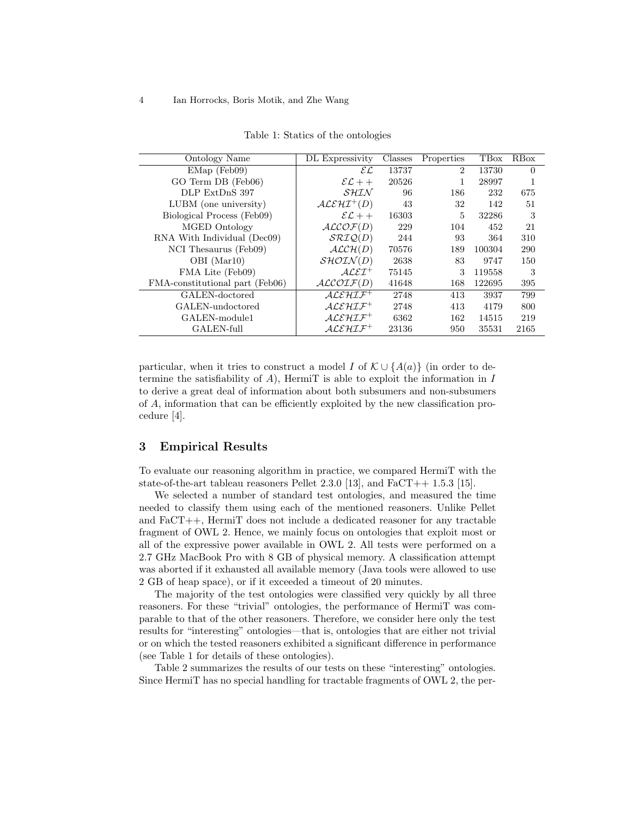| Ontology Name                   | DL Expressivity                                     | Classes | Properties     | TBox   | RBox     |
|---------------------------------|-----------------------------------------------------|---------|----------------|--------|----------|
| $EMap$ (Feb09)                  | $\mathcal{EL}$                                      | 13737   | $\overline{2}$ | 13730  | $\Omega$ |
| GO Term DB (Feb06)              | $\mathcal{EL}$ ++                                   | 20526   | 1              | 28997  |          |
| DLP ExtDnS 397                  | SHIN                                                | 96      | 186            | 232    | 675      |
| LUBM (one university)           | $ALEHI^{+}(D)$                                      | 43      | 32             | 142    | 51       |
| Biological Process (Feb09)      | $\mathcal{EL}$ ++                                   | 16303   | 5              | 32286  | 3        |
| MGED Ontology                   | ALCOF(D)                                            | 229     | 104            | 452    | 21       |
| RNA With Individual (Dec09)     | $\mathcal{SRIO}(D)$                                 | 244     | 93             | 364    | 310      |
| NCI Thesaurus (Feb09)           | ALCH(D)                                             | 70576   | 189            | 100304 | 290      |
| OBI (Mar10)                     | $\mathcal{SHOIN}(D)$                                | 2638    | 83             | 9747   | 150      |
| FMA Lite (Feb09)                | $\mathcal{A} \mathcal{L} \mathcal{E} \mathcal{I}^+$ | 75145   | 3              | 119558 | 3        |
| FMA-constitutional part (Feb06) | ALCOTF(D)                                           | 41648   | 168            | 122695 | 395      |
| GALEN-doctored                  | $ALEHIF^+$                                          | 2748    | 413            | 3937   | 799      |
| GALEN-undoctored                | $ALEHIF^+$                                          | 2748    | 413            | 4179   | 800      |
| GALEN-module1                   | $ALEHIF^+$                                          | 6362    | 162            | 14515  | 219      |
| GALEN-full                      | $ALEHIF^+$                                          | 23136   | 950            | 35531  | 2165     |

Table 1: Statics of the ontologies

particular, when it tries to construct a model I of  $\mathcal{K} \cup \{A(a)\}\$  (in order to determine the satisfiability of  $A$ ), HermiT is able to exploit the information in  $I$ to derive a great deal of information about both subsumers and non-subsumers of A, information that can be efficiently exploited by the new classification procedure [4].

#### 3 Empirical Results

To evaluate our reasoning algorithm in practice, we compared HermiT with the state-of-the-art tableau reasoners Pellet 2.3.0 [13], and  $FaCT++1.5.3$  [15].

We selected a number of standard test ontologies, and measured the time needed to classify them using each of the mentioned reasoners. Unlike Pellet and FaCT++, HermiT does not include a dedicated reasoner for any tractable fragment of OWL 2. Hence, we mainly focus on ontologies that exploit most or all of the expressive power available in OWL 2. All tests were performed on a 2.7 GHz MacBook Pro with 8 GB of physical memory. A classification attempt was aborted if it exhausted all available memory (Java tools were allowed to use 2 GB of heap space), or if it exceeded a timeout of 20 minutes.

The majority of the test ontologies were classified very quickly by all three reasoners. For these "trivial" ontologies, the performance of HermiT was comparable to that of the other reasoners. Therefore, we consider here only the test results for "interesting" ontologies—that is, ontologies that are either not trivial or on which the tested reasoners exhibited a significant difference in performance (see Table 1 for details of these ontologies).

Table 2 summarizes the results of our tests on these "interesting" ontologies. Since HermiT has no special handling for tractable fragments of OWL 2, the per-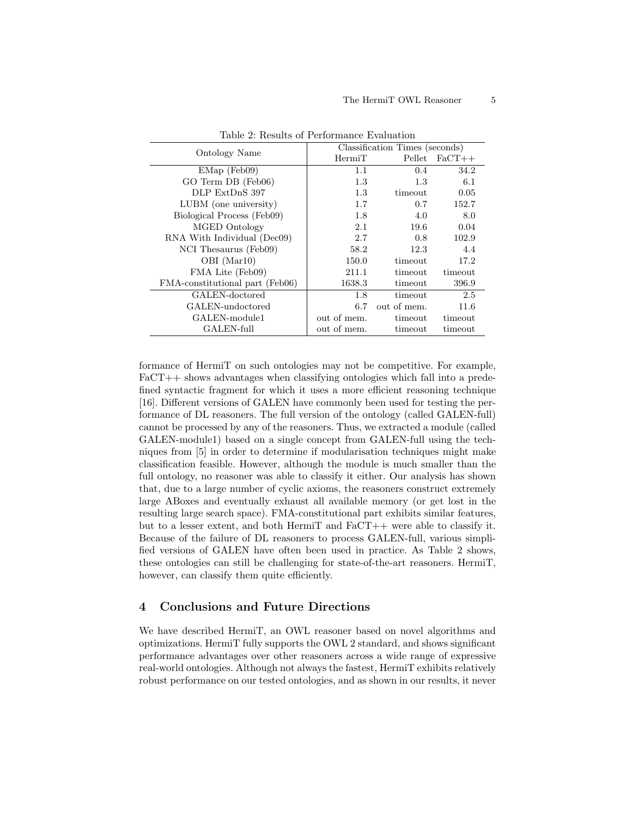| <b>Ontology Name</b>            | Classification Times (seconds) |             |          |  |
|---------------------------------|--------------------------------|-------------|----------|--|
|                                 | HermiT                         | Pellet      | $FaCT++$ |  |
| $EMap$ (Feb09)                  | 1.1                            | 0.4         | 34.2     |  |
| GO Term DB (Feb06)              | 1.3                            | 1.3         | 6.1      |  |
| DLP ExtDnS 397                  | 1.3                            | timeout     | 0.05     |  |
| LUBM (one university)           | 1.7                            | 0.7         | 152.7    |  |
| Biological Process (Feb09)      | 1.8                            | 4.0         | 8.0      |  |
| MGED Ontology                   | 2.1                            | 19.6        | 0.04     |  |
| RNA With Individual (Dec09)     | 2.7                            | 0.8         | 102.9    |  |
| NCI Thesaurus (Feb09)           | 58.2                           | 12.3        | 4.4      |  |
| OBI (Mar10)                     | 150.0                          | timeout     | 17.2     |  |
| FMA Lite (Feb09)                | 211.1                          | timeout     | timeout  |  |
| FMA-constitutional part (Feb06) | 1638.3                         | timeout     | 396.9    |  |
| GALEN-doctored                  | 1.8                            | timeout     | 2.5      |  |
| GALEN-undoctored                | 6.7                            | out of mem. | 11.6     |  |
| GALEN-module1                   | out of mem.                    | timeout     | timeout  |  |
| GALEN-full                      | out of mem.                    | timeout     | timeout  |  |

Table 2: Results of Performance Evaluation

formance of HermiT on such ontologies may not be competitive. For example, FaCT++ shows advantages when classifying ontologies which fall into a predefined syntactic fragment for which it uses a more efficient reasoning technique [16]. Different versions of GALEN have commonly been used for testing the performance of DL reasoners. The full version of the ontology (called GALEN-full) cannot be processed by any of the reasoners. Thus, we extracted a module (called GALEN-module1) based on a single concept from GALEN-full using the techniques from [5] in order to determine if modularisation techniques might make classification feasible. However, although the module is much smaller than the full ontology, no reasoner was able to classify it either. Our analysis has shown that, due to a large number of cyclic axioms, the reasoners construct extremely large ABoxes and eventually exhaust all available memory (or get lost in the resulting large search space). FMA-constitutional part exhibits similar features, but to a lesser extent, and both HermiT and  $FaCT++$  were able to classify it. Because of the failure of DL reasoners to process GALEN-full, various simplified versions of GALEN have often been used in practice. As Table 2 shows, these ontologies can still be challenging for state-of-the-art reasoners. HermiT, however, can classify them quite efficiently.

## 4 Conclusions and Future Directions

We have described HermiT, an OWL reasoner based on novel algorithms and optimizations. HermiT fully supports the OWL 2 standard, and shows significant performance advantages over other reasoners across a wide range of expressive real-world ontologies. Although not always the fastest, HermiT exhibits relatively robust performance on our tested ontologies, and as shown in our results, it never